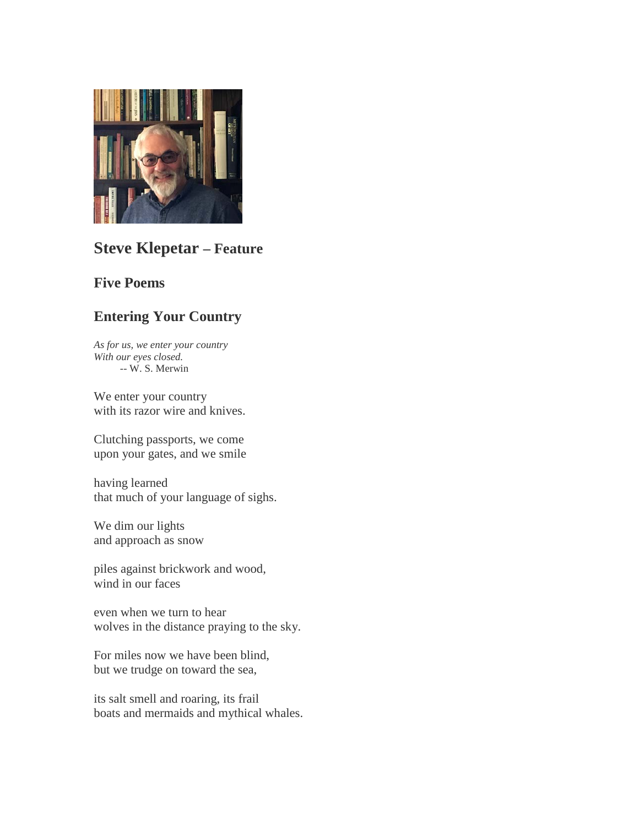

# **Steve Klepetar – Feature**

## **Five Poems**

## **Entering Your Country**

*As for us, we enter your country With our eyes closed. --* W. S. Merwin

We enter your country with its razor wire and knives.

Clutching passports, we come upon your gates, and we smile

having learned that much of your language of sighs.

We dim our lights and approach as snow

piles against brickwork and wood, wind in our faces

even when we turn to hear wolves in the distance praying to the sky.

For miles now we have been blind, but we trudge on toward the sea,

its salt smell and roaring, its frail boats and mermaids and mythical whales.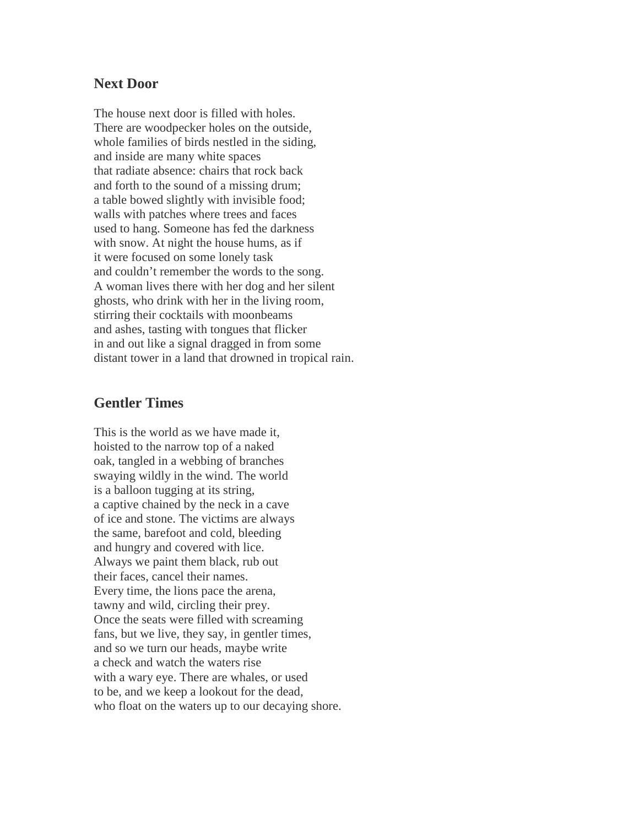#### **Next Door**

The house next door is filled with holes. There are woodpecker holes on the outside, whole families of birds nestled in the siding, and inside are many white spaces that radiate absence: chairs that rock back and forth to the sound of a missing drum; a table bowed slightly with invisible food; walls with patches where trees and faces used to hang. Someone has fed the darkness with snow. At night the house hums, as if it were focused on some lonely task and couldn't remember the words to the song. A woman lives there with her dog and her silent ghosts, who drink with her in the living room, stirring their cocktails with moonbeams and ashes, tasting with tongues that flicker in and out like a signal dragged in from some distant tower in a land that drowned in tropical rain.

### **Gentler Times**

This is the world as we have made it, hoisted to the narrow top of a naked oak, tangled in a webbing of branches swaying wildly in the wind. The world is a balloon tugging at its string, a captive chained by the neck in a cave of ice and stone. The victims are always the same, barefoot and cold, bleeding and hungry and covered with lice. Always we paint them black, rub out their faces, cancel their names. Every time, the lions pace the arena, tawny and wild, circling their prey. Once the seats were filled with screaming fans, but we live, they say, in gentler times, and so we turn our heads, maybe write a check and watch the waters rise with a wary eye. There are whales, or used to be, and we keep a lookout for the dead, who float on the waters up to our decaying shore.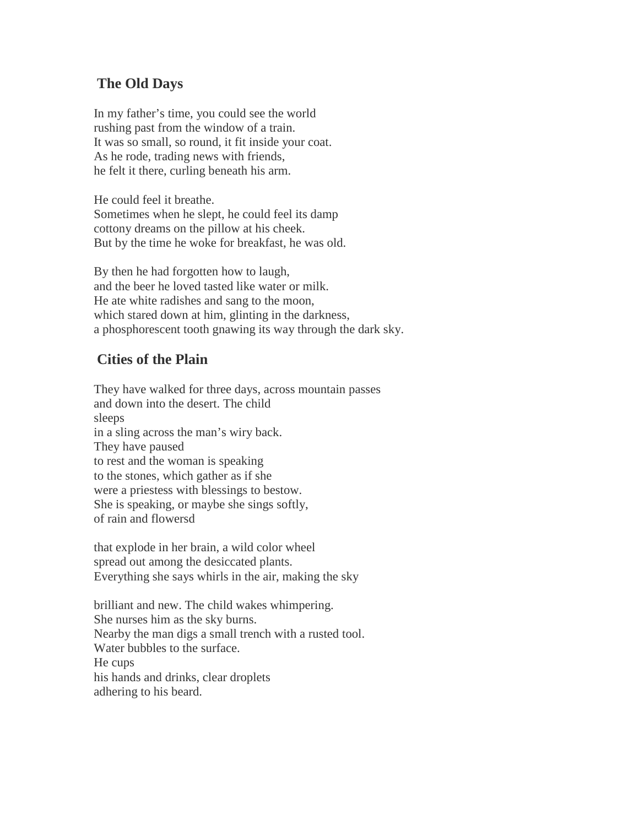## **The Old Days**

In my father's time, you could see the world rushing past from the window of a train. It was so small, so round, it fit inside your coat. As he rode, trading news with friends, he felt it there, curling beneath his arm.

He could feel it breathe. Sometimes when he slept, he could feel its damp cottony dreams on the pillow at his cheek. But by the time he woke for breakfast, he was old.

By then he had forgotten how to laugh, and the beer he loved tasted like water or milk. He ate white radishes and sang to the moon, which stared down at him, glinting in the darkness, a phosphorescent tooth gnawing its way through the dark sky.

## **Cities of the Plain**

They have walked for three days, across mountain passes and down into the desert. The child sleeps in a sling across the man's wiry back. They have paused to rest and the woman is speaking to the stones, which gather as if she were a priestess with blessings to bestow. She is speaking, or maybe she sings softly, of rain and flowersd

that explode in her brain, a wild color wheel spread out among the desiccated plants. Everything she says whirls in the air, making the sky

brilliant and new. The child wakes whimpering. She nurses him as the sky burns. Nearby the man digs a small trench with a rusted tool. Water bubbles to the surface. He cups his hands and drinks, clear droplets adhering to his beard.